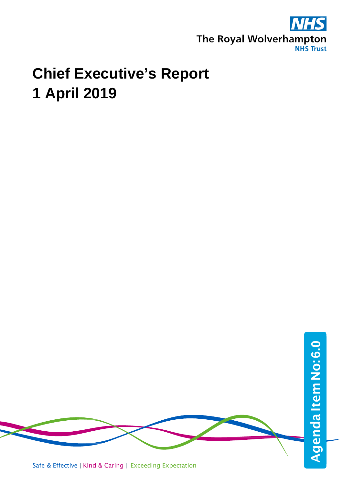

## **Chief Executive's Report 1 April 2019**

Safe & Effective | Kind & Caring | Exceeding Expectation AgendaItemNo: Agenda Item No: 6.0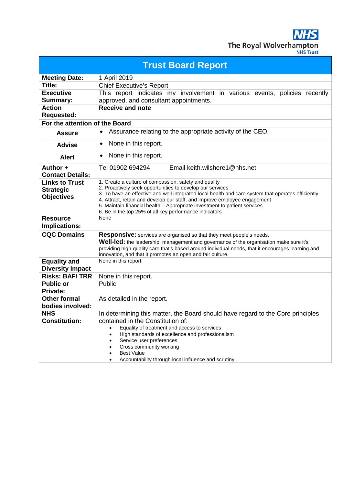**NHS** The Royal Wolverhampton

| <b>Trust Board Report</b>           |                                                                                                                                                                 |  |
|-------------------------------------|-----------------------------------------------------------------------------------------------------------------------------------------------------------------|--|
| <b>Meeting Date:</b>                | 1 April 2019                                                                                                                                                    |  |
| Title:                              | <b>Chief Executive's Report</b>                                                                                                                                 |  |
| <b>Executive</b>                    | This report indicates my involvement in various events, policies recently                                                                                       |  |
| Summary:                            | approved, and consultant appointments.                                                                                                                          |  |
| <b>Action</b><br><b>Requested:</b>  | <b>Receive and note</b>                                                                                                                                         |  |
| For the attention of the Board      |                                                                                                                                                                 |  |
| <b>Assure</b>                       | Assurance relating to the appropriate activity of the CEO.<br>$\bullet$                                                                                         |  |
| <b>Advise</b>                       | None in this report.<br>$\bullet$                                                                                                                               |  |
| <b>Alert</b>                        | None in this report.<br>$\bullet$                                                                                                                               |  |
| Author +                            | Tel 01902 694294<br>Email keith.wilshere1@nhs.net                                                                                                               |  |
| <b>Contact Details:</b>             |                                                                                                                                                                 |  |
| <b>Links to Trust</b>               | 1. Create a culture of compassion, safety and quality                                                                                                           |  |
| <b>Strategic</b>                    | 2. Proactively seek opportunities to develop our services<br>3. To have an effective and well integrated local health and care system that operates efficiently |  |
| <b>Objectives</b>                   | 4. Attract, retain and develop our staff, and improve employee engagement                                                                                       |  |
|                                     | 5. Maintain financial health - Appropriate investment to patient services                                                                                       |  |
| <b>Resource</b>                     | 6. Be in the top 25% of all key performance indicators<br>None                                                                                                  |  |
| <b>Implications:</b>                |                                                                                                                                                                 |  |
| <b>CQC Domains</b>                  | <b>Responsive:</b> services are organised so that they meet people's needs.                                                                                     |  |
|                                     | <b>Well-led:</b> the leadership, management and governance of the organisation make sure it's                                                                   |  |
|                                     | providing high-quality care that's based around individual needs, that it encourages learning and                                                               |  |
|                                     | innovation, and that it promotes an open and fair culture.                                                                                                      |  |
| <b>Equality and</b>                 | None in this report.                                                                                                                                            |  |
| <b>Diversity Impact</b>             |                                                                                                                                                                 |  |
| <b>Risks: BAF/TRR</b>               | None in this report.                                                                                                                                            |  |
| <b>Public or</b><br><b>Private:</b> | Public                                                                                                                                                          |  |
| <b>Other formal</b>                 | As detailed in the report.                                                                                                                                      |  |
| bodies involved:                    |                                                                                                                                                                 |  |
| <b>NHS</b>                          | In determining this matter, the Board should have regard to the Core principles                                                                                 |  |
| <b>Constitution:</b>                | contained in the Constitution of:                                                                                                                               |  |
|                                     | Equality of treatment and access to services                                                                                                                    |  |
|                                     | High standards of excellence and professionalism<br>$\bullet$                                                                                                   |  |
|                                     | Service user preferences                                                                                                                                        |  |
|                                     | Cross community working<br><b>Best Value</b>                                                                                                                    |  |
|                                     | Accountability through local influence and scrutiny                                                                                                             |  |